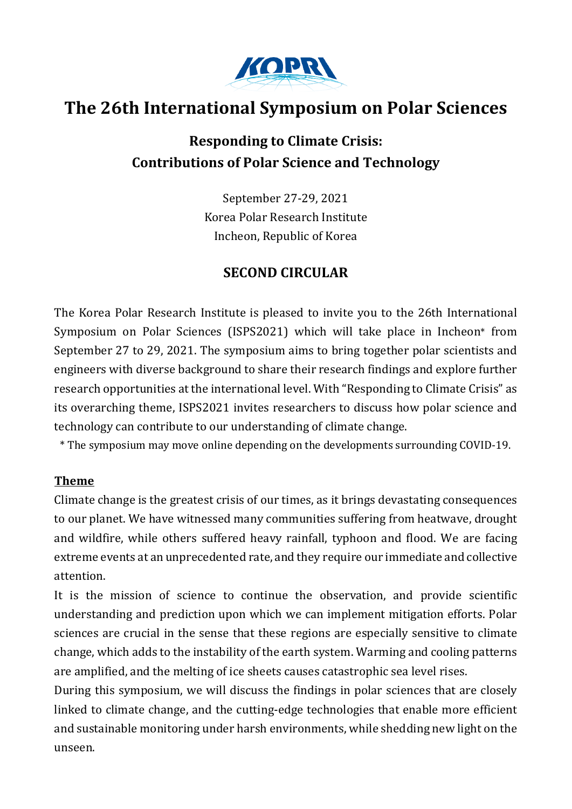

# **The 26th International Symposium on Polar Sciences**

# **Responding to Climate Crisis: Contributions of Polar Science and Technology**

September 27-29, 2021 Korea Polar Research Institute Incheon, Republic of Korea

# **SECOND CIRCULAR**

The Korea Polar Research Institute is pleased to invite you to the 26th International Symposium on Polar Sciences (ISPS2021) which will take place in Incheon\* from September 27 to 29, 2021. The symposium aims to bring together polar scientists and engineers with diverse background to share their research findings and explore further research opportunities at the international level. With "Responding to Climate Crisis" as its overarching theme, ISPS2021 invites researchers to discuss how polar science and technology can contribute to our understanding of climate change.

\* The symposium may move online depending on the developments surrounding COVID-19.

#### **Theme**

Climate change is the greatest crisis of our times, as it brings devastating consequences to our planet. We have witnessed many communities suffering from heatwave, drought and wildfire, while others suffered heavy rainfall, typhoon and flood. We are facing extreme events at an unprecedented rate, and they require our immediate and collective attention.

It is the mission of science to continue the observation, and provide scientific understanding and prediction upon which we can implement mitigation efforts. Polar sciences are crucial in the sense that these regions are especially sensitive to climate change, which adds to the instability of the earth system. Warming and cooling patterns are amplified, and the melting of ice sheets causes catastrophic sea level rises.

During this symposium, we will discuss the findings in polar sciences that are closely linked to climate change, and the cutting-edge technologies that enable more efficient and sustainable monitoring under harsh environments, while shedding new light on the unseen.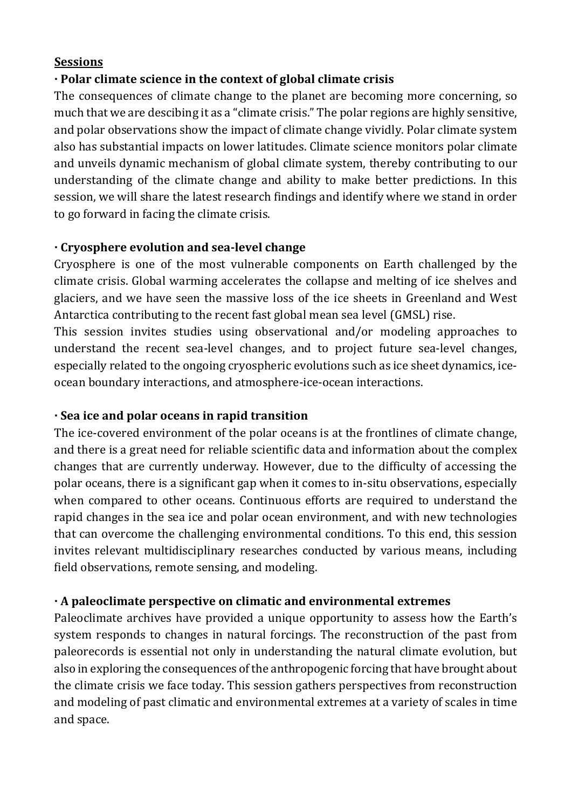#### **Sessions**

# **· Polar climate science in the context of global climate crisis**

The consequences of climate change to the planet are becoming more concerning, so much that we are descibing it as a "climate crisis." The polar regions are highly sensitive, and polar observations show the impact of climate change vividly. Polar climate system also has substantial impacts on lower latitudes. Climate science monitors polar climate and unveils dynamic mechanism of global climate system, thereby contributing to our understanding of the climate change and ability to make better predictions. In this session, we will share the latest research findings and identify where we stand in order to go forward in facing the climate crisis.

# **· Cryosphere evolution and sea-level change**

Cryosphere is one of the most vulnerable components on Earth challenged by the climate crisis. Global warming accelerates the collapse and melting of ice shelves and glaciers, and we have seen the massive loss of the ice sheets in Greenland and West Antarctica contributing to the recent fast global mean sea level (GMSL) rise.

This session invites studies using observational and/or modeling approaches to understand the recent sea-level changes, and to project future sea-level changes, especially related to the ongoing cryospheric evolutions such as ice sheet dynamics, iceocean boundary interactions, and atmosphere-ice-ocean interactions.

# **· Sea ice and polar oceans in rapid transition**

The ice-covered environment of the polar oceans is at the frontlines of climate change, and there is a great need for reliable scientific data and information about the complex changes that are currently underway. However, due to the difficulty of accessing the polar oceans, there is a significant gap when it comes to in-situ observations, especially when compared to other oceans. Continuous efforts are required to understand the rapid changes in the sea ice and polar ocean environment, and with new technologies that can overcome the challenging environmental conditions. To this end, this session invites relevant multidisciplinary researches conducted by various means, including field observations, remote sensing, and modeling.

# **· A paleoclimate perspective on climatic and environmental extremes**

Paleoclimate archives have provided a unique opportunity to assess how the Earth's system responds to changes in natural forcings. The reconstruction of the past from paleorecords is essential not only in understanding the natural climate evolution, but also in exploring the consequences of the anthropogenic forcing that have brought about the climate crisis we face today. This session gathers perspectives from reconstruction and modeling of past climatic and environmental extremes at a variety of scales in time and space.